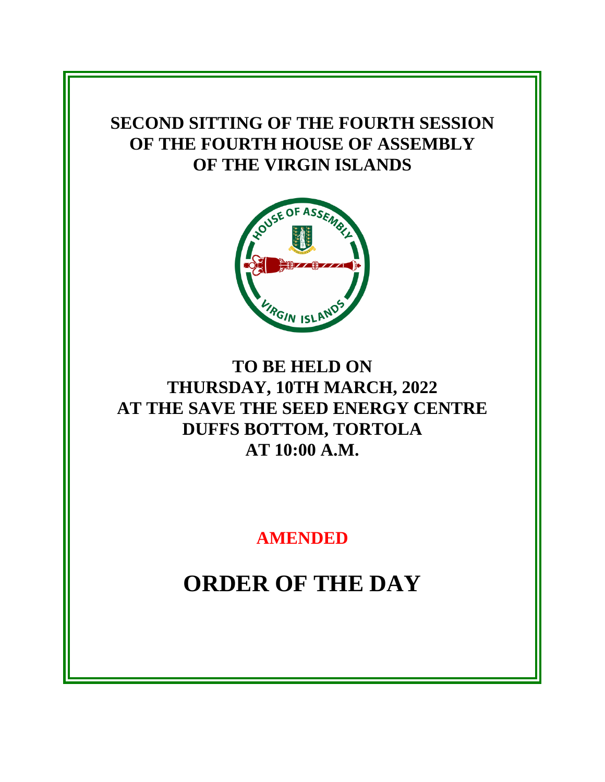# **SECOND SITTING OF THE FOURTH SESSION OF THE FOURTH HOUSE OF ASSEMBLY OF THE VIRGIN ISLANDS**



# **TO BE HELD ON THURSDAY, 10TH MARCH, 2022 AT THE SAVE THE SEED ENERGY CENTRE DUFFS BOTTOM, TORTOLA AT 10:00 A.M.**

**AMENDED**

**ORDER OF THE DAY**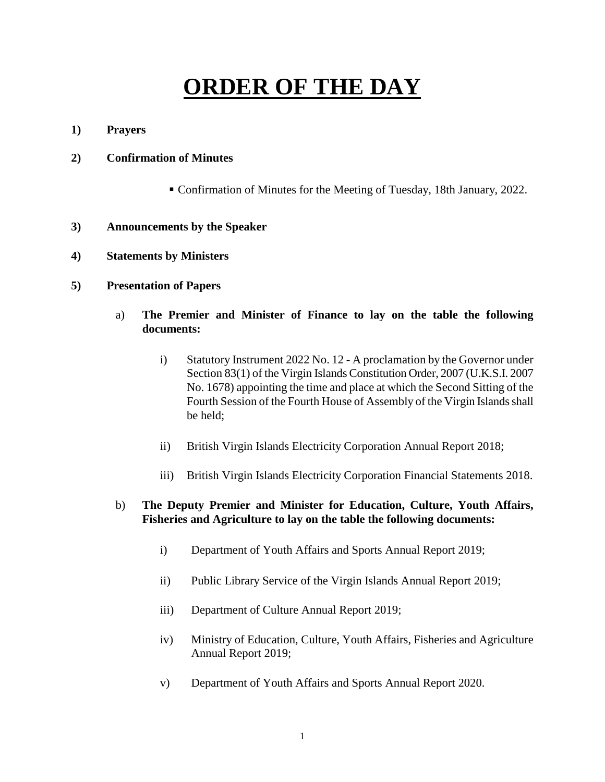# **ORDER OF THE DAY**

**1) Prayers**

#### **2) Confirmation of Minutes**

Confirmation of Minutes for the Meeting of Tuesday, 18th January, 2022.

#### **3) Announcements by the Speaker**

**4) Statements by Ministers**

#### **5) Presentation of Papers**

- a) **The Premier and Minister of Finance to lay on the table the following documents:**
	- i) Statutory Instrument 2022 No. 12 A proclamation by the Governor under Section 83(1) of the Virgin Islands Constitution Order, 2007 (U.K.S.I. 2007 No. 1678) appointing the time and place at which the Second Sitting of the Fourth Session of the Fourth House of Assembly of the Virgin Islands shall be held;
	- ii) British Virgin Islands Electricity Corporation Annual Report 2018;
	- iii) British Virgin Islands Electricity Corporation Financial Statements 2018.

#### b) **The Deputy Premier and Minister for Education, Culture, Youth Affairs, Fisheries and Agriculture to lay on the table the following documents:**

- i) Department of Youth Affairs and Sports Annual Report 2019;
- ii) Public Library Service of the Virgin Islands Annual Report 2019;
- iii) Department of Culture Annual Report 2019;
- iv) Ministry of Education, Culture, Youth Affairs, Fisheries and Agriculture Annual Report 2019;
- v) Department of Youth Affairs and Sports Annual Report 2020.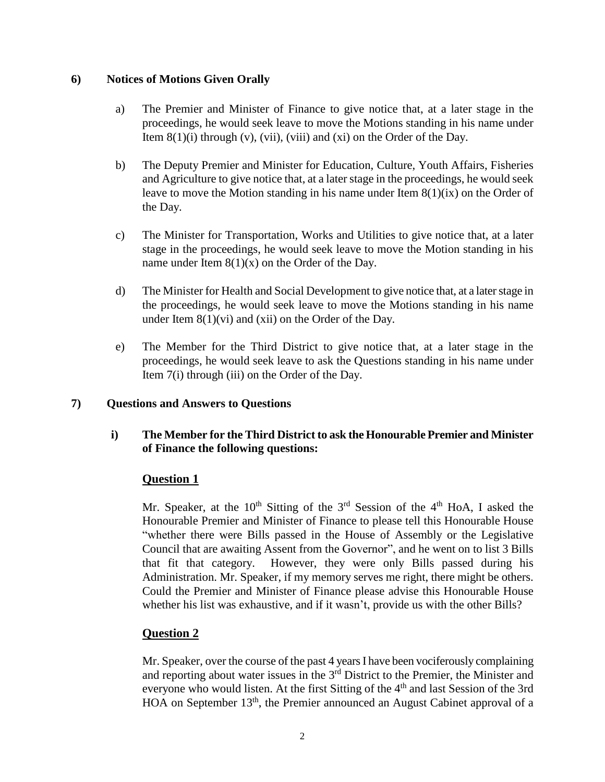#### **6) Notices of Motions Given Orally**

- a) The Premier and Minister of Finance to give notice that, at a later stage in the proceedings, he would seek leave to move the Motions standing in his name under Item  $8(1)(i)$  through (v), (vii), (viii) and (xi) on the Order of the Day.
- b) The Deputy Premier and Minister for Education, Culture, Youth Affairs, Fisheries and Agriculture to give notice that, at a later stage in the proceedings, he would seek leave to move the Motion standing in his name under Item 8(1)(ix) on the Order of the Day.
- c) The Minister for Transportation, Works and Utilities to give notice that, at a later stage in the proceedings, he would seek leave to move the Motion standing in his name under Item  $8(1)(x)$  on the Order of the Day.
- d) The Minister for Health and Social Development to give notice that, at a later stage in the proceedings, he would seek leave to move the Motions standing in his name under Item  $8(1)(vi)$  and  $(xii)$  on the Order of the Day.
- e) The Member for the Third District to give notice that, at a later stage in the proceedings, he would seek leave to ask the Questions standing in his name under Item 7(i) through (iii) on the Order of the Day.

#### **7) Questions and Answers to Questions**

# **i) The Member for the Third District to ask the Honourable Premier and Minister of Finance the following questions:**

#### **Question 1**

Mr. Speaker, at the  $10^{th}$  Sitting of the 3<sup>rd</sup> Session of the 4<sup>th</sup> HoA, I asked the Honourable Premier and Minister of Finance to please tell this Honourable House "whether there were Bills passed in the House of Assembly or the Legislative Council that are awaiting Assent from the Governor", and he went on to list 3 Bills that fit that category. However, they were only Bills passed during his Administration. Mr. Speaker, if my memory serves me right, there might be others. Could the Premier and Minister of Finance please advise this Honourable House whether his list was exhaustive, and if it wasn't, provide us with the other Bills?

# **Question 2**

Mr. Speaker, over the course of the past 4 yearsI have been vociferously complaining and reporting about water issues in the  $3<sup>rd</sup>$  District to the Premier, the Minister and everyone who would listen. At the first Sitting of the 4<sup>th</sup> and last Session of the 3rd HOA on September 13<sup>th</sup>, the Premier announced an August Cabinet approval of a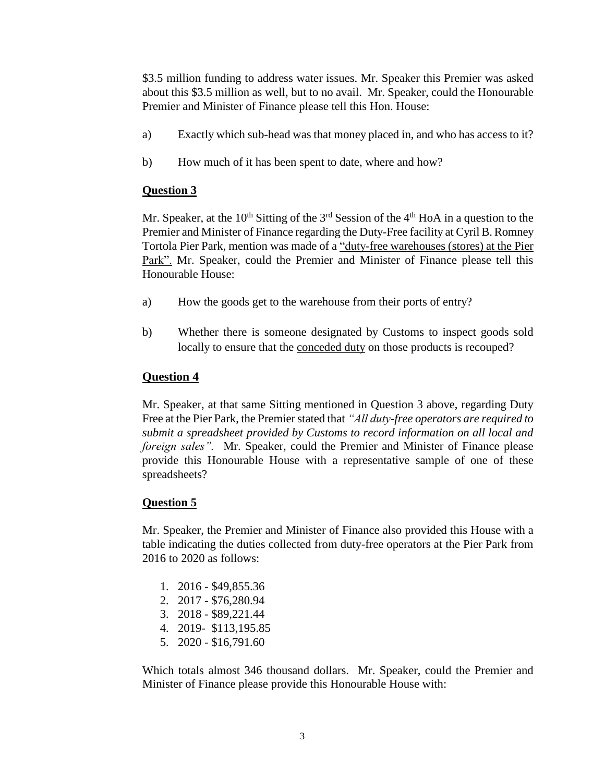\$3.5 million funding to address water issues. Mr. Speaker this Premier was asked about this \$3.5 million as well, but to no avail. Mr. Speaker, could the Honourable Premier and Minister of Finance please tell this Hon. House:

- a) Exactly which sub-head was that money placed in, and who has access to it?
- b) How much of it has been spent to date, where and how?

# **Question 3**

Mr. Speaker, at the  $10^{th}$  Sitting of the  $3^{rd}$  Session of the  $4^{th}$  HoA in a question to the Premier and Minister of Finance regarding the Duty-Free facility at Cyril B. Romney Tortola Pier Park, mention was made of a "duty-free warehouses (stores) at the Pier Park". Mr. Speaker, could the Premier and Minister of Finance please tell this Honourable House:

- a) How the goods get to the warehouse from their ports of entry?
- b) Whether there is someone designated by Customs to inspect goods sold locally to ensure that the conceded duty on those products is recouped?

# **Question 4**

Mr. Speaker, at that same Sitting mentioned in Question 3 above, regarding Duty Free at the Pier Park, the Premier stated that *"All duty-free operators are required to submit a spreadsheet provided by Customs to record information on all local and foreign sales".* Mr. Speaker, could the Premier and Minister of Finance please provide this Honourable House with a representative sample of one of these spreadsheets?

# **Question 5**

Mr. Speaker, the Premier and Minister of Finance also provided this House with a table indicating the duties collected from duty-free operators at the Pier Park from 2016 to 2020 as follows:

- 1. 2016 \$49,855.36
- 2. 2017 \$76,280.94
- 3. 2018 \$89,221.44
- 4. 2019- \$113,195.85
- 5. 2020 \$16,791.60

Which totals almost 346 thousand dollars. Mr. Speaker, could the Premier and Minister of Finance please provide this Honourable House with: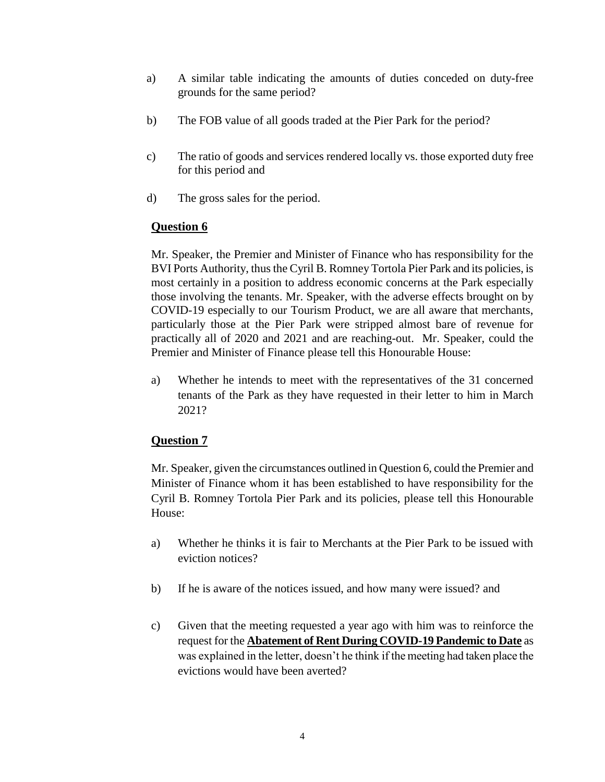- a) A similar table indicating the amounts of duties conceded on duty-free grounds for the same period?
- b) The FOB value of all goods traded at the Pier Park for the period?
- c) The ratio of goods and services rendered locally vs. those exported duty free for this period and
- d) The gross sales for the period.

# **Question 6**

Mr. Speaker, the Premier and Minister of Finance who has responsibility for the BVI Ports Authority, thus the Cyril B. Romney Tortola Pier Park and its policies, is most certainly in a position to address economic concerns at the Park especially those involving the tenants. Mr. Speaker, with the adverse effects brought on by COVID-19 especially to our Tourism Product, we are all aware that merchants, particularly those at the Pier Park were stripped almost bare of revenue for practically all of 2020 and 2021 and are reaching-out. Mr. Speaker, could the Premier and Minister of Finance please tell this Honourable House:

a) Whether he intends to meet with the representatives of the 31 concerned tenants of the Park as they have requested in their letter to him in March 2021?

# **Question 7**

Mr. Speaker, given the circumstances outlined in Question 6, could the Premier and Minister of Finance whom it has been established to have responsibility for the Cyril B. Romney Tortola Pier Park and its policies, please tell this Honourable House:

- a) Whether he thinks it is fair to Merchants at the Pier Park to be issued with eviction notices?
- b) If he is aware of the notices issued, and how many were issued? and
- c) Given that the meeting requested a year ago with him was to reinforce the request for the **Abatement of Rent During COVID-19 Pandemic to Date** as was explained in the letter, doesn't he think if the meeting had taken place the evictions would have been averted?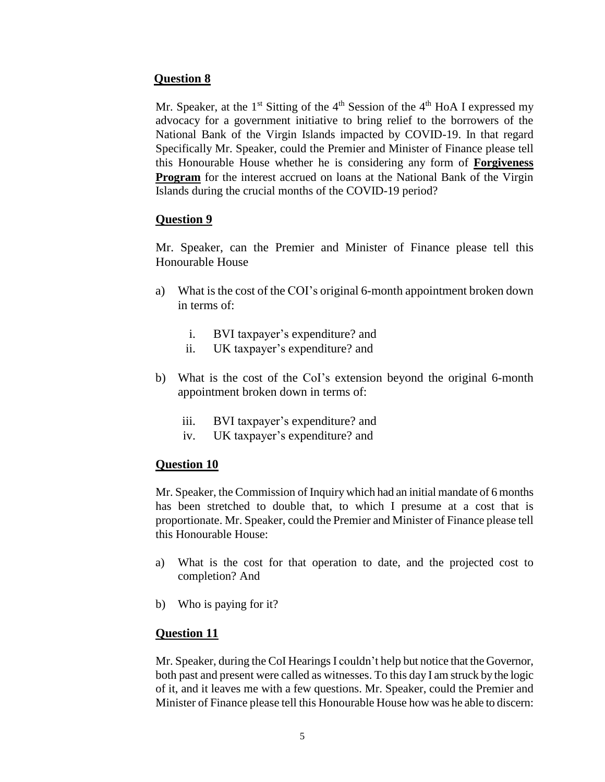# **Question 8**

Mr. Speaker, at the  $1<sup>st</sup>$  Sitting of the  $4<sup>th</sup>$  Session of the  $4<sup>th</sup>$  HoA I expressed my advocacy for a government initiative to bring relief to the borrowers of the National Bank of the Virgin Islands impacted by COVID-19. In that regard Specifically Mr. Speaker, could the Premier and Minister of Finance please tell this Honourable House whether he is considering any form of **Forgiveness Program** for the interest accrued on loans at the National Bank of the Virgin Islands during the crucial months of the COVID-19 period?

# **Question 9**

Mr. Speaker, can the Premier and Minister of Finance please tell this Honourable House

- a) What is the cost of the COI's original 6-month appointment broken down in terms of:
	- i. BVI taxpayer's expenditure? and
	- ii. UK taxpayer's expenditure? and
- b) What is the cost of the CoI's extension beyond the original 6-month appointment broken down in terms of:
	- iii. BVI taxpayer's expenditure? and
	- iv. UK taxpayer's expenditure? and

# **Question 10**

Mr. Speaker, the Commission of Inquiry which had an initial mandate of 6 months has been stretched to double that, to which I presume at a cost that is proportionate. Mr. Speaker, could the Premier and Minister of Finance please tell this Honourable House:

- a) What is the cost for that operation to date, and the projected cost to completion? And
- b) Who is paying for it?

# **Question 11**

Mr. Speaker, during the CoI Hearings I couldn't help but notice that the Governor, both past and present were called as witnesses. To this day I am struck by the logic of it, and it leaves me with a few questions. Mr. Speaker, could the Premier and Minister of Finance please tell this Honourable House how was he able to discern: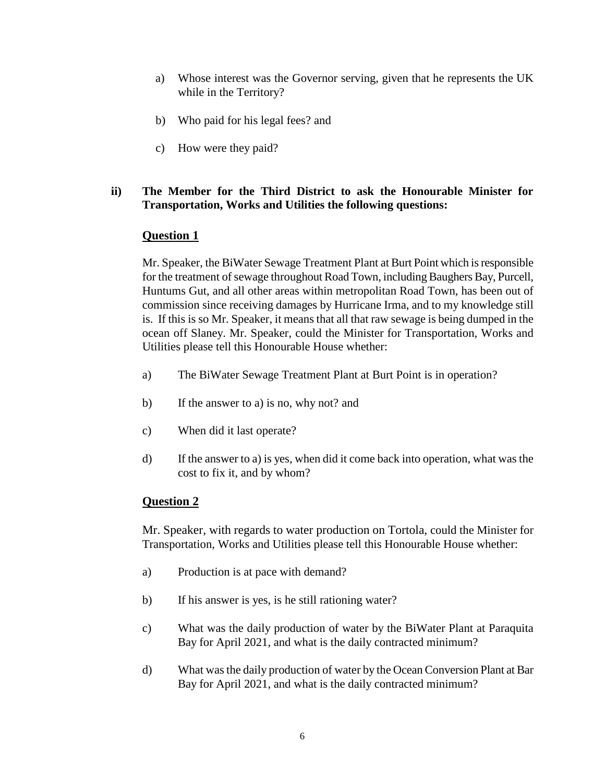- a) Whose interest was the Governor serving, given that he represents the UK while in the Territory?
- b) Who paid for his legal fees? and
- c) How were they paid?

# **ii) The Member for the Third District to ask the Honourable Minister for Transportation, Works and Utilities the following questions:**

# **Question 1**

Mr. Speaker, the BiWater Sewage Treatment Plant at Burt Point which isresponsible for the treatment of sewage throughout Road Town, including Baughers Bay, Purcell, Huntums Gut, and all other areas within metropolitan Road Town, has been out of commission since receiving damages by Hurricane Irma, and to my knowledge still is. If this is so Mr. Speaker, it means that all that raw sewage is being dumped in the ocean off Slaney. Mr. Speaker, could the Minister for Transportation, Works and Utilities please tell this Honourable House whether:

- a) The BiWater Sewage Treatment Plant at Burt Point is in operation?
- b) If the answer to a) is no, why not? and
- c) When did it last operate?
- d) If the answer to a) is yes, when did it come back into operation, what was the cost to fix it, and by whom?

# **Question 2**

Mr. Speaker, with regards to water production on Tortola, could the Minister for Transportation, Works and Utilities please tell this Honourable House whether:

- a) Production is at pace with demand?
- b) If his answer is yes, is he still rationing water?
- c) What was the daily production of water by the BiWater Plant at Paraquita Bay for April 2021, and what is the daily contracted minimum?
- d) What wasthe daily production of water by the Ocean Conversion Plant at Bar Bay for April 2021, and what is the daily contracted minimum?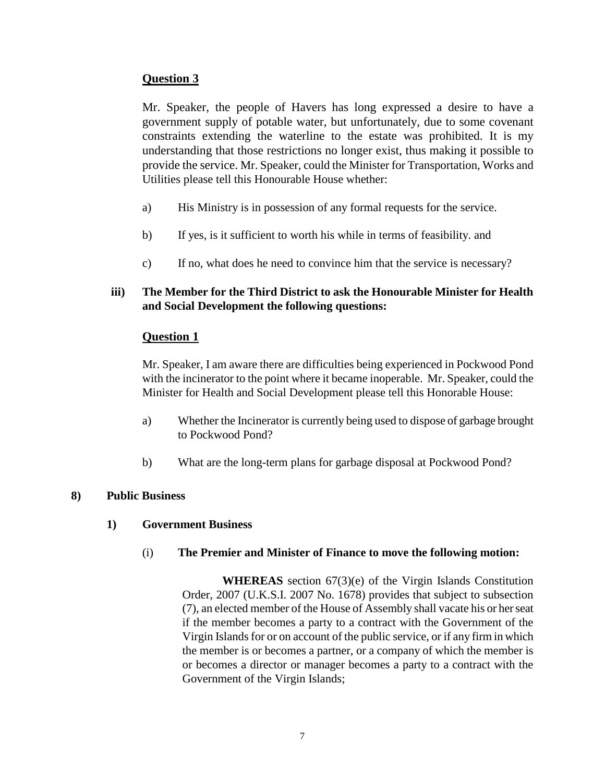# **Question 3**

Mr. Speaker, the people of Havers has long expressed a desire to have a government supply of potable water, but unfortunately, due to some covenant constraints extending the waterline to the estate was prohibited. It is my understanding that those restrictions no longer exist, thus making it possible to provide the service. Mr. Speaker, could the Minister for Transportation, Works and Utilities please tell this Honourable House whether:

- a) His Ministry is in possession of any formal requests for the service.
- b) If yes, is it sufficient to worth his while in terms of feasibility. and
- c) If no, what does he need to convince him that the service is necessary?

# **iii) The Member for the Third District to ask the Honourable Minister for Health and Social Development the following questions:**

# **Question 1**

Mr. Speaker, I am aware there are difficulties being experienced in Pockwood Pond with the incinerator to the point where it became inoperable. Mr. Speaker, could the Minister for Health and Social Development please tell this Honorable House:

- a) Whether the Incinerator is currently being used to dispose of garbage brought to Pockwood Pond?
- b) What are the long-term plans for garbage disposal at Pockwood Pond?

# **8) Public Business**

# **1) Government Business**

# (i) **The Premier and Minister of Finance to move the following motion:**

**WHEREAS** section 67(3)(e) of the Virgin Islands Constitution Order, 2007 (U.K.S.I. 2007 No. 1678) provides that subject to subsection (7), an elected member of the House of Assembly shall vacate his or her seat if the member becomes a party to a contract with the Government of the Virgin Islands for or on account of the public service, or if any firm in which the member is or becomes a partner, or a company of which the member is or becomes a director or manager becomes a party to a contract with the Government of the Virgin Islands;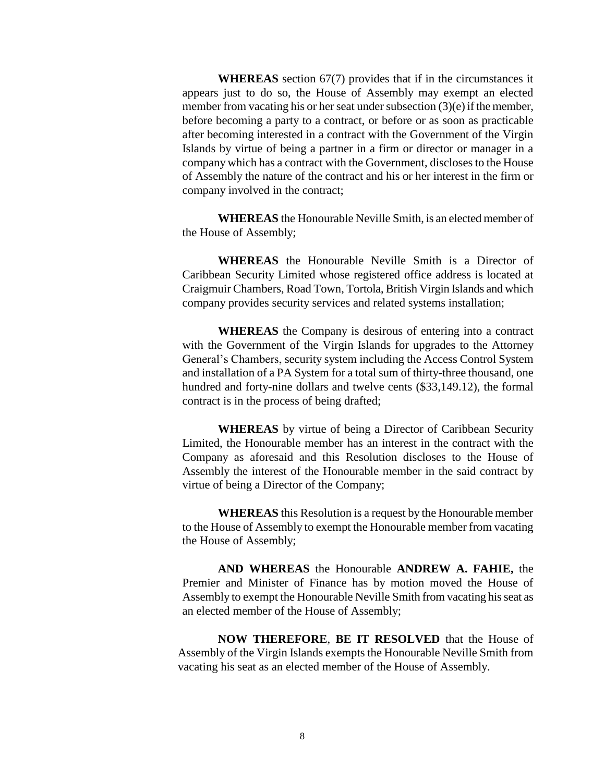**WHEREAS** section 67(7) provides that if in the circumstances it appears just to do so, the House of Assembly may exempt an elected member from vacating his or her seat under subsection (3)(e) if the member, before becoming a party to a contract, or before or as soon as practicable after becoming interested in a contract with the Government of the Virgin Islands by virtue of being a partner in a firm or director or manager in a company which has a contract with the Government, discloses to the House of Assembly the nature of the contract and his or her interest in the firm or company involved in the contract;

**WHEREAS** the Honourable Neville Smith, is an elected member of the House of Assembly;

**WHEREAS** the Honourable Neville Smith is a Director of Caribbean Security Limited whose registered office address is located at Craigmuir Chambers, Road Town, Tortola, British Virgin Islands and which company provides security services and related systems installation;

**WHEREAS** the Company is desirous of entering into a contract with the Government of the Virgin Islands for upgrades to the Attorney General's Chambers, security system including the Access Control System and installation of a PA System for a total sum of thirty-three thousand, one hundred and forty-nine dollars and twelve cents (\$33,149.12), the formal contract is in the process of being drafted;

**WHEREAS** by virtue of being a Director of Caribbean Security Limited, the Honourable member has an interest in the contract with the Company as aforesaid and this Resolution discloses to the House of Assembly the interest of the Honourable member in the said contract by virtue of being a Director of the Company;

**WHEREAS** this Resolution is a request by the Honourable member to the House of Assembly to exempt the Honourable member from vacating the House of Assembly;

**AND WHEREAS** the Honourable **ANDREW A. FAHIE,** the Premier and Minister of Finance has by motion moved the House of Assembly to exempt the Honourable Neville Smith from vacating his seat as an elected member of the House of Assembly;

**NOW THEREFORE**, **BE IT RESOLVED** that the House of Assembly of the Virgin Islands exempts the Honourable Neville Smith from vacating his seat as an elected member of the House of Assembly.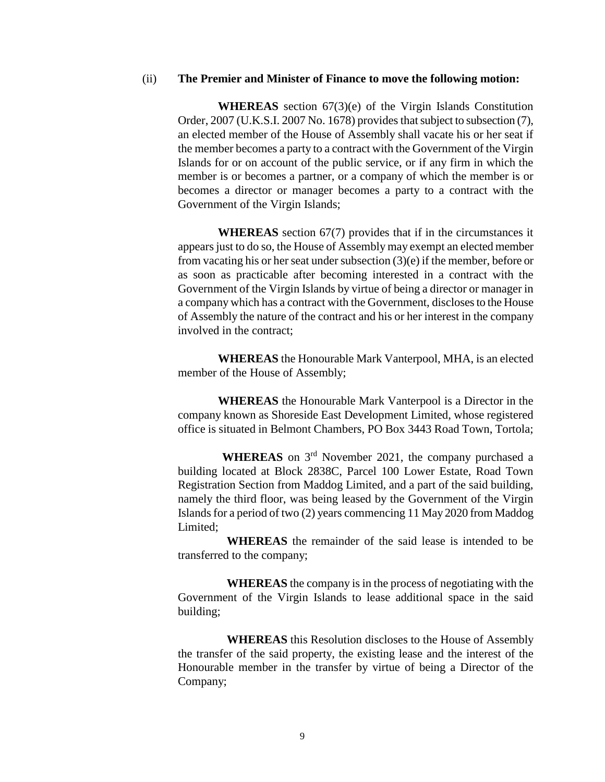#### (ii) **The Premier and Minister of Finance to move the following motion:**

**WHEREAS** section 67(3)(e) of the Virgin Islands Constitution Order, 2007 (U.K.S.I. 2007 No. 1678) provides that subject to subsection (7), an elected member of the House of Assembly shall vacate his or her seat if the member becomes a party to a contract with the Government of the Virgin Islands for or on account of the public service, or if any firm in which the member is or becomes a partner, or a company of which the member is or becomes a director or manager becomes a party to a contract with the Government of the Virgin Islands;

**WHEREAS** section 67(7) provides that if in the circumstances it appears just to do so, the House of Assembly may exempt an elected member from vacating his or her seat under subsection (3)(e) if the member, before or as soon as practicable after becoming interested in a contract with the Government of the Virgin Islands by virtue of being a director or manager in a company which has a contract with the Government, discloses to the House of Assembly the nature of the contract and his or her interest in the company involved in the contract;

**WHEREAS** the Honourable Mark Vanterpool, MHA, is an elected member of the House of Assembly;

**WHEREAS** the Honourable Mark Vanterpool is a Director in the company known as Shoreside East Development Limited, whose registered office is situated in Belmont Chambers, PO Box 3443 Road Town, Tortola;

WHEREAS on 3<sup>rd</sup> November 2021, the company purchased a building located at Block 2838C, Parcel 100 Lower Estate, Road Town Registration Section from Maddog Limited, and a part of the said building, namely the third floor, was being leased by the Government of the Virgin Islands for a period of two (2) years commencing 11 May 2020 from Maddog Limited;

**WHEREAS** the remainder of the said lease is intended to be transferred to the company;

**WHEREAS** the company is in the process of negotiating with the Government of the Virgin Islands to lease additional space in the said building;

**WHEREAS** this Resolution discloses to the House of Assembly the transfer of the said property, the existing lease and the interest of the Honourable member in the transfer by virtue of being a Director of the Company;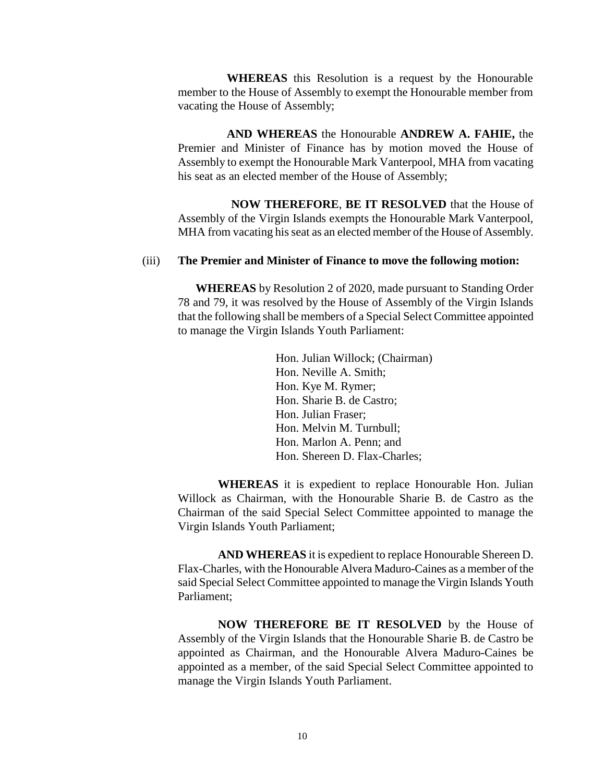**WHEREAS** this Resolution is a request by the Honourable member to the House of Assembly to exempt the Honourable member from vacating the House of Assembly;

**AND WHEREAS** the Honourable **ANDREW A. FAHIE,** the Premier and Minister of Finance has by motion moved the House of Assembly to exempt the Honourable Mark Vanterpool, MHA from vacating his seat as an elected member of the House of Assembly;

**NOW THEREFORE**, **BE IT RESOLVED** that the House of Assembly of the Virgin Islands exempts the Honourable Mark Vanterpool, MHA from vacating his seat as an elected member of the House of Assembly.

#### (iii) **The Premier and Minister of Finance to move the following motion:**

**WHEREAS** by Resolution 2 of 2020, made pursuant to Standing Order 78 and 79, it was resolved by the House of Assembly of the Virgin Islands that the following shall be members of a Special Select Committee appointed to manage the Virgin Islands Youth Parliament:

> Hon. Julian Willock; (Chairman) Hon. Neville A. Smith; Hon. Kye M. Rymer; Hon. Sharie B. de Castro; Hon. Julian Fraser; Hon. Melvin M. Turnbull; Hon. Marlon A. Penn; and Hon. Shereen D. Flax-Charles;

**WHEREAS** it is expedient to replace Honourable Hon. Julian Willock as Chairman, with the Honourable Sharie B. de Castro as the Chairman of the said Special Select Committee appointed to manage the Virgin Islands Youth Parliament;

**AND WHEREAS** it is expedient to replace Honourable Shereen D. Flax-Charles, with the Honourable Alvera Maduro-Caines as a member of the said Special Select Committee appointed to manage the Virgin Islands Youth Parliament;

**NOW THEREFORE BE IT RESOLVED** by the House of Assembly of the Virgin Islands that the Honourable Sharie B. de Castro be appointed as Chairman, and the Honourable Alvera Maduro-Caines be appointed as a member, of the said Special Select Committee appointed to manage the Virgin Islands Youth Parliament.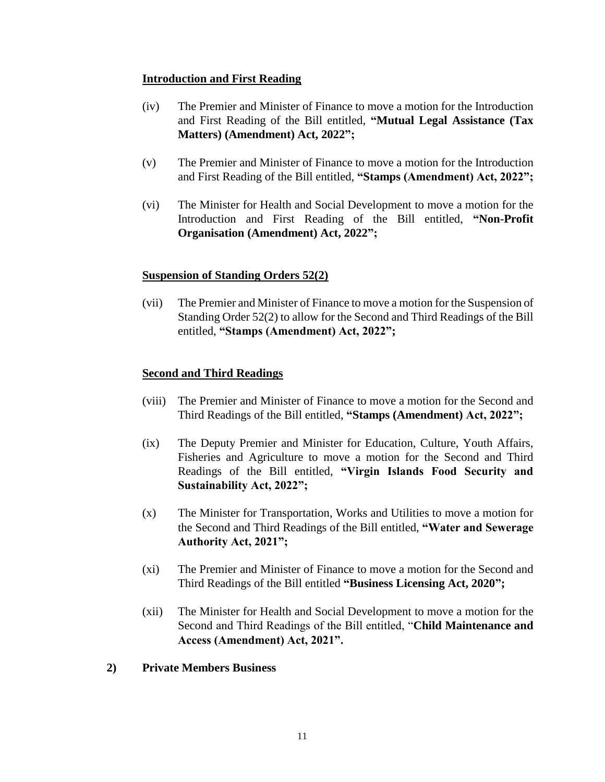#### **Introduction and First Reading**

- (iv) The Premier and Minister of Finance to move a motion for the Introduction and First Reading of the Bill entitled, **"Mutual Legal Assistance (Tax Matters) (Amendment) Act, 2022";**
- (v) The Premier and Minister of Finance to move a motion for the Introduction and First Reading of the Bill entitled, **"Stamps (Amendment) Act, 2022";**
- (vi) The Minister for Health and Social Development to move a motion for the Introduction and First Reading of the Bill entitled, **"Non-Profit Organisation (Amendment) Act, 2022";**

#### **Suspension of Standing Orders 52(2)**

(vii) The Premier and Minister of Finance to move a motion for the Suspension of Standing Order 52(2) to allow for the Second and Third Readings of the Bill entitled, **"Stamps (Amendment) Act, 2022";**

# **Second and Third Readings**

- (viii) The Premier and Minister of Finance to move a motion for the Second and Third Readings of the Bill entitled, **"Stamps (Amendment) Act, 2022";**
- (ix) The Deputy Premier and Minister for Education, Culture, Youth Affairs, Fisheries and Agriculture to move a motion for the Second and Third Readings of the Bill entitled, **"Virgin Islands Food Security and Sustainability Act, 2022";**
- (x) The Minister for Transportation, Works and Utilities to move a motion for the Second and Third Readings of the Bill entitled, **"Water and Sewerage Authority Act, 2021";**
- (xi) The Premier and Minister of Finance to move a motion for the Second and Third Readings of the Bill entitled **"Business Licensing Act, 2020";**
- (xii) The Minister for Health and Social Development to move a motion for the Second and Third Readings of the Bill entitled, "**Child Maintenance and Access (Amendment) Act, 2021".**
- **2) Private Members Business**